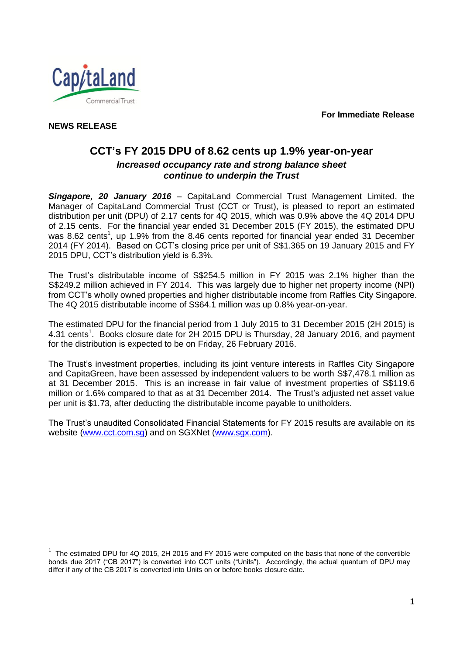**For Immediate Release**



**NEWS RELEASE** 

l

## **CCT's FY 2015 DPU of 8.62 cents up 1.9% year-on-year** *Increased occupancy rate and strong balance sheet continue to underpin the Trust*

*Singapore, 20 January 2016* – CapitaLand Commercial Trust Management Limited, the Manager of CapitaLand Commercial Trust (CCT or Trust), is pleased to report an estimated distribution per unit (DPU) of 2.17 cents for 4Q 2015, which was 0.9% above the 4Q 2014 DPU of 2.15 cents. For the financial year ended 31 December 2015 (FY 2015), the estimated DPU was 8.62 cents<sup>1</sup>, up 1.9% from the 8.46 cents reported for financial year ended 31 December 2014 (FY 2014). Based on CCT's closing price per unit of S\$1.365 on 19 January 2015 and FY 2015 DPU, CCT's distribution yield is 6.3%.

The Trust's distributable income of S\$254.5 million in FY 2015 was 2.1% higher than the S\$249.2 million achieved in FY 2014. This was largely due to higher net property income (NPI) from CCT's wholly owned properties and higher distributable income from Raffles City Singapore. The 4Q 2015 distributable income of S\$64.1 million was up 0.8% year-on-year.

The estimated DPU for the financial period from 1 July 2015 to 31 December 2015 (2H 2015) is 4.31 cents<sup>1</sup>. Books closure date for 2H 2015 DPU is Thursday, 28 January 2016, and payment for the distribution is expected to be on Friday, 26 February 2016.

The Trust's investment properties, including its joint venture interests in Raffles City Singapore and CapitaGreen, have been assessed by independent valuers to be worth S\$7,478.1 million as at 31 December 2015. This is an increase in fair value of investment properties of S\$119.6 million or 1.6% compared to that as at 31 December 2014. The Trust's adjusted net asset value per unit is \$1.73, after deducting the distributable income payable to unitholders.

The Trust's unaudited Consolidated Financial Statements for FY 2015 results are available on its website [\(www.cct.com.sg\)](http://www.cct.com.sg/) and on SGXNet [\(www.sgx.com\)](http://www.sgx.com/).

 $1$  The estimated DPU for 4Q 2015, 2H 2015 and FY 2015 were computed on the basis that none of the convertible bonds due 2017 ("CB 2017") is converted into CCT units ("Units"). Accordingly, the actual quantum of DPU may differ if any of the CB 2017 is converted into Units on or before books closure date.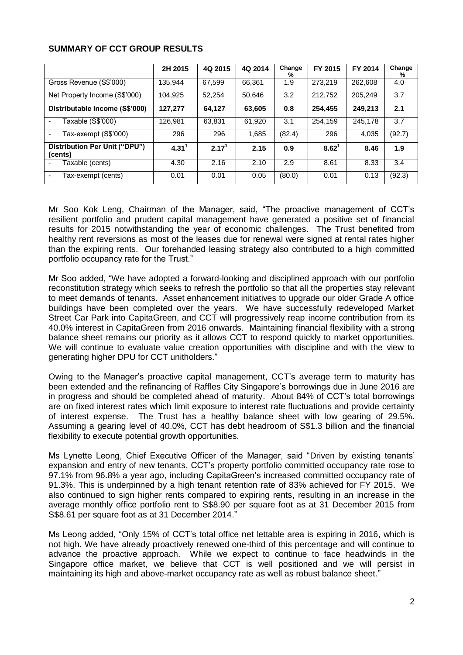|                                          | 2H 2015        | 4Q 2015           | 4Q 2014 | Change<br>% | FY 2015  | FY 2014 | Change<br>% |
|------------------------------------------|----------------|-------------------|---------|-------------|----------|---------|-------------|
| Gross Revenue (S\$'000)                  | 135.944        | 67,599            | 66.361  | 1.9         | 273.219  | 262,608 | 4.0         |
| Net Property Income (S\$'000)            | 104.925        | 52.254            | 50.646  | 3.2         | 212,752  | 205.249 | 3.7         |
| Distributable Income (S\$'000)           | 127.277        | 64,127            | 63,605  | 0.8         | 254,455  | 249,213 | 2.1         |
| Taxable (S\$'000)                        | 126.981        | 63,831            | 61,920  | 3.1         | 254,159  | 245.178 | 3.7         |
| Tax-exempt (S\$'000)                     | 296            | 296               | 1,685   | (82.4)      | 296      | 4.035   | (92.7)      |
| Distribution Per Unit ("DPU")<br>(cents) | $4.31^{\circ}$ | 2.17 <sup>1</sup> | 2.15    | 0.9         | $8.62^1$ | 8.46    | 1.9         |
| Taxable (cents)                          | 4.30           | 2.16              | 2.10    | 2.9         | 8.61     | 8.33    | 3.4         |
| Tax-exempt (cents)                       | 0.01           | 0.01              | 0.05    | (80.0)      | 0.01     | 0.13    | (92.3)      |

## **SUMMARY OF CCT GROUP RESULTS**

Mr Soo Kok Leng, Chairman of the Manager, said, "The proactive management of CCT's resilient portfolio and prudent capital management have generated a positive set of financial results for 2015 notwithstanding the year of economic challenges. The Trust benefited from healthy rent reversions as most of the leases due for renewal were signed at rental rates higher than the expiring rents. Our forehanded leasing strategy also contributed to a high committed portfolio occupancy rate for the Trust."

Mr Soo added, "We have adopted a forward-looking and disciplined approach with our portfolio reconstitution strategy which seeks to refresh the portfolio so that all the properties stay relevant to meet demands of tenants. Asset enhancement initiatives to upgrade our older Grade A office buildings have been completed over the years. We have successfully redeveloped Market Street Car Park into CapitaGreen, and CCT will progressively reap income contribution from its 40.0% interest in CapitaGreen from 2016 onwards. Maintaining financial flexibility with a strong balance sheet remains our priority as it allows CCT to respond quickly to market opportunities. We will continue to evaluate value creation opportunities with discipline and with the view to generating higher DPU for CCT unitholders."

Owing to the Manager's proactive capital management, CCT's average term to maturity has been extended and the refinancing of Raffles City Singapore's borrowings due in June 2016 are in progress and should be completed ahead of maturity. About 84% of CCT's total borrowings are on fixed interest rates which limit exposure to interest rate fluctuations and provide certainty of interest expense. The Trust has a healthy balance sheet with low gearing of 29.5%. Assuming a gearing level of 40.0%, CCT has debt headroom of S\$1.3 billion and the financial flexibility to execute potential growth opportunities.

Ms Lynette Leong, Chief Executive Officer of the Manager, said "Driven by existing tenants' expansion and entry of new tenants, CCT's property portfolio committed occupancy rate rose to 97.1% from 96.8% a year ago, including CapitaGreen's increased committed occupancy rate of 91.3%. This is underpinned by a high tenant retention rate of 83% achieved for FY 2015. We also continued to sign higher rents compared to expiring rents, resulting in an increase in the average monthly office portfolio rent to S\$8.90 per square foot as at 31 December 2015 from S\$8.61 per square foot as at 31 December 2014."

Ms Leong added, "Only 15% of CCT's total office net lettable area is expiring in 2016, which is not high. We have already proactively renewed one-third of this percentage and will continue to advance the proactive approach. While we expect to continue to face headwinds in the Singapore office market, we believe that CCT is well positioned and we will persist in maintaining its high and above-market occupancy rate as well as robust balance sheet."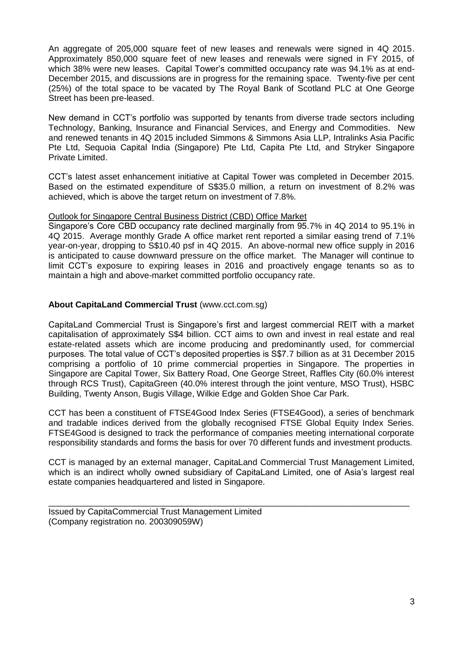An aggregate of 205,000 square feet of new leases and renewals were signed in 4Q 2015. Approximately 850,000 square feet of new leases and renewals were signed in FY 2015, of which 38% were new leases. Capital Tower's committed occupancy rate was 94.1% as at end-December 2015, and discussions are in progress for the remaining space. Twenty-five per cent (25%) of the total space to be vacated by The Royal Bank of Scotland PLC at One George Street has been pre-leased.

New demand in CCT's portfolio was supported by tenants from diverse trade sectors including Technology, Banking, Insurance and Financial Services, and Energy and Commodities. New and renewed tenants in 4Q 2015 included Simmons & Simmons Asia LLP, Intralinks Asia Pacific Pte Ltd, Sequoia Capital India (Singapore) Pte Ltd, Capita Pte Ltd, and Stryker Singapore Private Limited.

CCT's latest asset enhancement initiative at Capital Tower was completed in December 2015. Based on the estimated expenditure of S\$35.0 million, a return on investment of 8.2% was achieved, which is above the target return on investment of 7.8%.

Outlook for Singapore Central Business District (CBD) Office Market

Singapore's Core CBD occupancy rate declined marginally from 95.7% in 4Q 2014 to 95.1% in 4Q 2015. Average monthly Grade A office market rent reported a similar easing trend of 7.1% year-on-year, dropping to S\$10.40 psf in 4Q 2015. An above-normal new office supply in 2016 is anticipated to cause downward pressure on the office market. The Manager will continue to limit CCT's exposure to expiring leases in 2016 and proactively engage tenants so as to maintain a high and above-market committed portfolio occupancy rate.

## **About CapitaLand Commercial Trust** (www.cct.com.sg)

CapitaLand Commercial Trust is Singapore's first and largest commercial REIT with a market capitalisation of approximately S\$4 billion. CCT aims to own and invest in real estate and real estate-related assets which are income producing and predominantly used, for commercial purposes. The total value of CCT's deposited properties is S\$7.7 billion as at 31 December 2015 comprising a portfolio of 10 prime commercial properties in Singapore. The properties in Singapore are Capital Tower, Six Battery Road, One George Street, Raffles City (60.0% interest through RCS Trust), CapitaGreen (40.0% interest through the joint venture, MSO Trust), HSBC Building, Twenty Anson, Bugis Village, Wilkie Edge and Golden Shoe Car Park.

CCT has been a constituent of FTSE4Good Index Series (FTSE4Good), a series of benchmark and tradable indices derived from the globally recognised FTSE Global Equity Index Series. FTSE4Good is designed to track the performance of companies meeting international corporate responsibility standards and forms the basis for over 70 different funds and investment products.

CCT is managed by an external manager, CapitaLand Commercial Trust Management Limited, which is an indirect wholly owned subsidiary of CapitaLand Limited, one of Asia's largest real estate companies headquartered and listed in Singapore.

\_\_\_\_\_\_\_\_\_\_\_\_\_\_\_\_\_\_\_\_\_\_\_\_\_\_\_\_\_\_\_\_\_\_\_\_\_\_\_\_\_\_\_\_\_\_\_\_\_\_\_\_\_\_\_\_\_\_\_\_\_\_\_\_\_\_\_\_\_\_\_\_\_\_\_\_

Issued by CapitaCommercial Trust Management Limited (Company registration no. 200309059W)